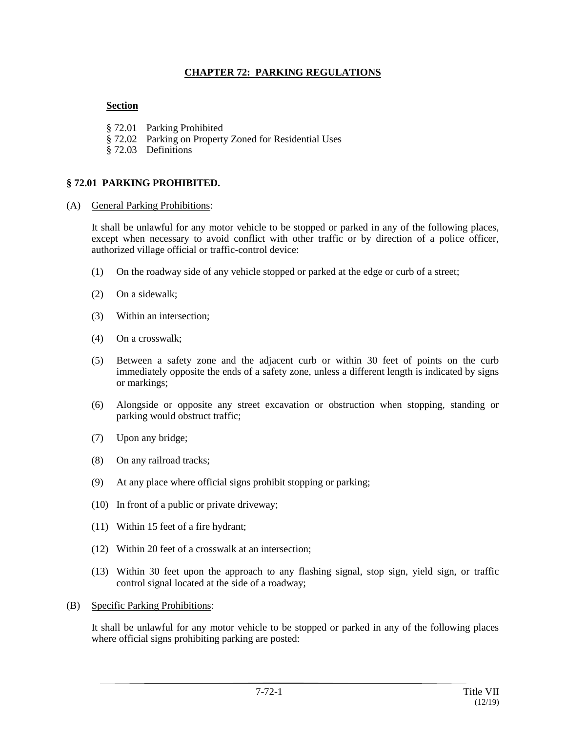### **CHAPTER 72: PARKING REGULATIONS**

## **Section**

- § 72.01 Parking Prohibited
- § 72.02 Parking on Property Zoned for Residential Uses
- § 72.03 Definitions

#### **§ 72.01 PARKING PROHIBITED.**

(A) General Parking Prohibitions:

It shall be unlawful for any motor vehicle to be stopped or parked in any of the following places, except when necessary to avoid conflict with other traffic or by direction of a police officer, authorized village official or traffic-control device:

- (1) On the roadway side of any vehicle stopped or parked at the edge or curb of a street;
- (2) On a sidewalk;
- (3) Within an intersection;
- (4) On a crosswalk;
- (5) Between a safety zone and the adjacent curb or within 30 feet of points on the curb immediately opposite the ends of a safety zone, unless a different length is indicated by signs or markings;
- (6) Alongside or opposite any street excavation or obstruction when stopping, standing or parking would obstruct traffic;
- (7) Upon any bridge;
- (8) On any railroad tracks;
- (9) At any place where official signs prohibit stopping or parking;
- (10) In front of a public or private driveway;
- (11) Within 15 feet of a fire hydrant;
- (12) Within 20 feet of a crosswalk at an intersection;
- (13) Within 30 feet upon the approach to any flashing signal, stop sign, yield sign, or traffic control signal located at the side of a roadway;
- (B) Specific Parking Prohibitions:

It shall be unlawful for any motor vehicle to be stopped or parked in any of the following places where official signs prohibiting parking are posted: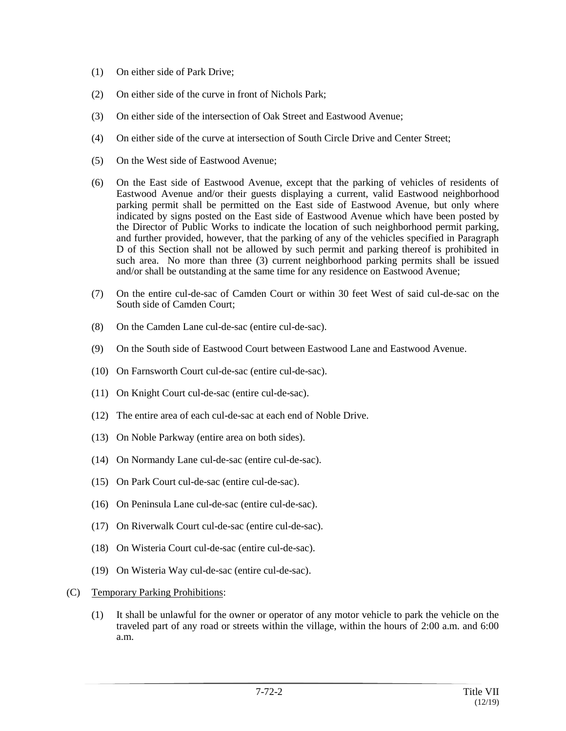- (1) On either side of Park Drive;
- (2) On either side of the curve in front of Nichols Park;
- (3) On either side of the intersection of Oak Street and Eastwood Avenue;
- (4) On either side of the curve at intersection of South Circle Drive and Center Street;
- (5) On the West side of Eastwood Avenue;
- (6) On the East side of Eastwood Avenue, except that the parking of vehicles of residents of Eastwood Avenue and/or their guests displaying a current, valid Eastwood neighborhood parking permit shall be permitted on the East side of Eastwood Avenue, but only where indicated by signs posted on the East side of Eastwood Avenue which have been posted by the Director of Public Works to indicate the location of such neighborhood permit parking, and further provided, however, that the parking of any of the vehicles specified in Paragraph D of this Section shall not be allowed by such permit and parking thereof is prohibited in such area. No more than three (3) current neighborhood parking permits shall be issued and/or shall be outstanding at the same time for any residence on Eastwood Avenue;
- (7) On the entire cul-de-sac of Camden Court or within 30 feet West of said cul-de-sac on the South side of Camden Court;
- (8) On the Camden Lane cul-de-sac (entire cul-de-sac).
- (9) On the South side of Eastwood Court between Eastwood Lane and Eastwood Avenue.
- (10) On Farnsworth Court cul-de-sac (entire cul-de-sac).
- (11) On Knight Court cul-de-sac (entire cul-de-sac).
- (12) The entire area of each cul-de-sac at each end of Noble Drive.
- (13) On Noble Parkway (entire area on both sides).
- (14) On Normandy Lane cul-de-sac (entire cul-de-sac).
- (15) On Park Court cul-de-sac (entire cul-de-sac).
- (16) On Peninsula Lane cul-de-sac (entire cul-de-sac).
- (17) On Riverwalk Court cul-de-sac (entire cul-de-sac).
- (18) On Wisteria Court cul-de-sac (entire cul-de-sac).
- (19) On Wisteria Way cul-de-sac (entire cul-de-sac).
- (C) Temporary Parking Prohibitions:
	- (1) It shall be unlawful for the owner or operator of any motor vehicle to park the vehicle on the traveled part of any road or streets within the village, within the hours of 2:00 a.m. and 6:00 a.m.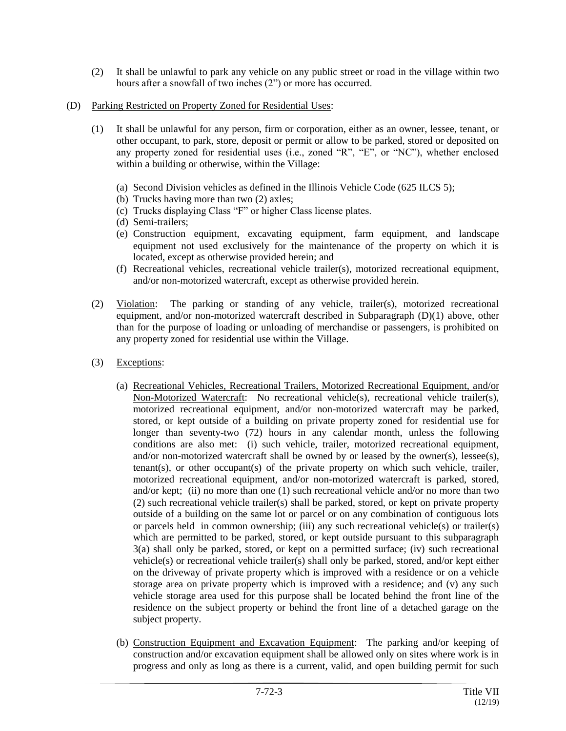- (2) It shall be unlawful to park any vehicle on any public street or road in the village within two hours after a snowfall of two inches (2") or more has occurred.
- (D) Parking Restricted on Property Zoned for Residential Uses:
	- (1) It shall be unlawful for any person, firm or corporation, either as an owner, lessee, tenant, or other occupant, to park, store, deposit or permit or allow to be parked, stored or deposited on any property zoned for residential uses (i.e., zoned "R", "E", or "NC"), whether enclosed within a building or otherwise, within the Village:
		- (a) Second Division vehicles as defined in the Illinois Vehicle Code (625 ILCS 5);
		- (b) Trucks having more than two (2) axles;
		- (c) Trucks displaying Class "F" or higher Class license plates.
		- (d) Semi-trailers;
		- (e) Construction equipment, excavating equipment, farm equipment, and landscape equipment not used exclusively for the maintenance of the property on which it is located, except as otherwise provided herein; and
		- (f) Recreational vehicles, recreational vehicle trailer(s), motorized recreational equipment, and/or non-motorized watercraft, except as otherwise provided herein.
	- (2) Violation: The parking or standing of any vehicle, trailer(s), motorized recreational equipment, and/or non-motorized watercraft described in Subparagraph (D)(1) above, other than for the purpose of loading or unloading of merchandise or passengers, is prohibited on any property zoned for residential use within the Village.
	- (3) Exceptions:
		- (a) Recreational Vehicles, Recreational Trailers, Motorized Recreational Equipment, and/or Non-Motorized Watercraft: No recreational vehicle(s), recreational vehicle trailer(s), motorized recreational equipment, and/or non-motorized watercraft may be parked, stored, or kept outside of a building on private property zoned for residential use for longer than seventy-two (72) hours in any calendar month, unless the following conditions are also met: (i) such vehicle, trailer, motorized recreational equipment, and/or non-motorized watercraft shall be owned by or leased by the owner(s), lessee(s), tenant(s), or other occupant(s) of the private property on which such vehicle, trailer, motorized recreational equipment, and/or non-motorized watercraft is parked, stored, and/or kept; (ii) no more than one (1) such recreational vehicle and/or no more than two (2) such recreational vehicle trailer(s) shall be parked, stored, or kept on private property outside of a building on the same lot or parcel or on any combination of contiguous lots or parcels held in common ownership; (iii) any such recreational vehicle(s) or trailer(s) which are permitted to be parked, stored, or kept outside pursuant to this subparagraph 3(a) shall only be parked, stored, or kept on a permitted surface; (iv) such recreational vehicle(s) or recreational vehicle trailer(s) shall only be parked, stored, and/or kept either on the driveway of private property which is improved with a residence or on a vehicle storage area on private property which is improved with a residence; and (v) any such vehicle storage area used for this purpose shall be located behind the front line of the residence on the subject property or behind the front line of a detached garage on the subject property.
		- (b) Construction Equipment and Excavation Equipment: The parking and/or keeping of construction and/or excavation equipment shall be allowed only on sites where work is in progress and only as long as there is a current, valid, and open building permit for such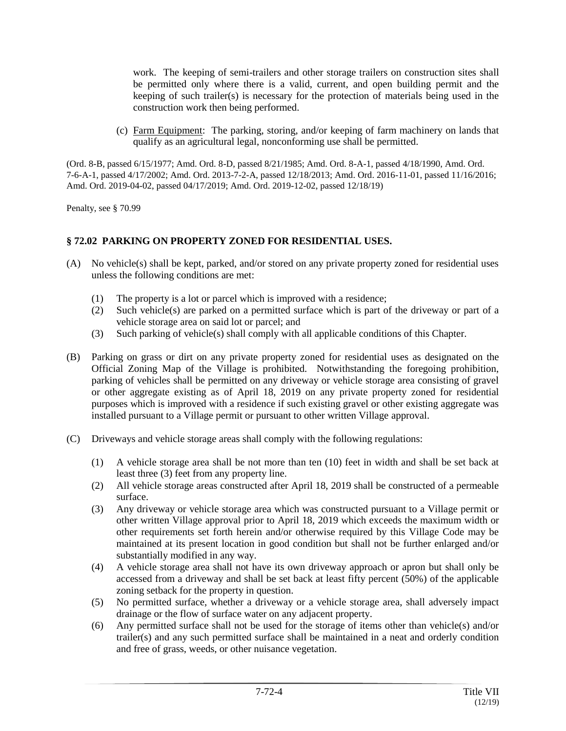work. The keeping of semi-trailers and other storage trailers on construction sites shall be permitted only where there is a valid, current, and open building permit and the keeping of such trailer(s) is necessary for the protection of materials being used in the construction work then being performed.

(c) Farm Equipment: The parking, storing, and/or keeping of farm machinery on lands that qualify as an agricultural legal, nonconforming use shall be permitted.

(Ord. 8-B, passed 6/15/1977; Amd. Ord. 8-D, passed 8/21/1985; Amd. Ord. 8-A-1, passed 4/18/1990, Amd. Ord. 7-6-A-1, passed 4/17/2002; Amd. Ord. 2013-7-2-A, passed 12/18/2013; Amd. Ord. 2016-11-01, passed 11/16/2016; Amd. Ord. 2019-04-02, passed 04/17/2019; Amd. Ord. 2019-12-02, passed 12/18/19)

Penalty, see § 70.99

# **§ 72.02 PARKING ON PROPERTY ZONED FOR RESIDENTIAL USES.**

- (A) No vehicle(s) shall be kept, parked, and/or stored on any private property zoned for residential uses unless the following conditions are met:
	- (1) The property is a lot or parcel which is improved with a residence;
	- (2) Such vehicle(s) are parked on a permitted surface which is part of the driveway or part of a vehicle storage area on said lot or parcel; and
	- (3) Such parking of vehicle(s) shall comply with all applicable conditions of this Chapter.
- (B) Parking on grass or dirt on any private property zoned for residential uses as designated on the Official Zoning Map of the Village is prohibited. Notwithstanding the foregoing prohibition, parking of vehicles shall be permitted on any driveway or vehicle storage area consisting of gravel or other aggregate existing as of April 18, 2019 on any private property zoned for residential purposes which is improved with a residence if such existing gravel or other existing aggregate was installed pursuant to a Village permit or pursuant to other written Village approval.
- (C) Driveways and vehicle storage areas shall comply with the following regulations:
	- (1) A vehicle storage area shall be not more than ten (10) feet in width and shall be set back at least three (3) feet from any property line.
	- (2) All vehicle storage areas constructed after April 18, 2019 shall be constructed of a permeable surface.
	- (3) Any driveway or vehicle storage area which was constructed pursuant to a Village permit or other written Village approval prior to April 18, 2019 which exceeds the maximum width or other requirements set forth herein and/or otherwise required by this Village Code may be maintained at its present location in good condition but shall not be further enlarged and/or substantially modified in any way.
	- (4) A vehicle storage area shall not have its own driveway approach or apron but shall only be accessed from a driveway and shall be set back at least fifty percent  $(50%)$  of the applicable zoning setback for the property in question.
	- (5) No permitted surface, whether a driveway or a vehicle storage area, shall adversely impact drainage or the flow of surface water on any adjacent property.
	- (6) Any permitted surface shall not be used for the storage of items other than vehicle(s) and/or trailer(s) and any such permitted surface shall be maintained in a neat and orderly condition and free of grass, weeds, or other nuisance vegetation.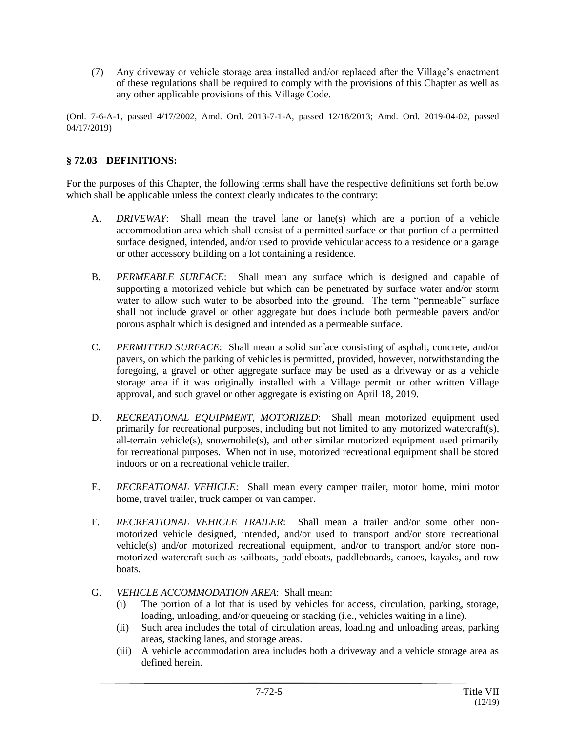(7) Any driveway or vehicle storage area installed and/or replaced after the Village's enactment of these regulations shall be required to comply with the provisions of this Chapter as well as any other applicable provisions of this Village Code.

(Ord. 7-6-A-1, passed 4/17/2002, Amd. Ord. 2013-7-1-A, passed 12/18/2013; Amd. Ord. 2019-04-02, passed 04/17/2019)

#### **§ 72.03 DEFINITIONS:**

For the purposes of this Chapter, the following terms shall have the respective definitions set forth below which shall be applicable unless the context clearly indicates to the contrary:

- A. *DRIVEWAY*: Shall mean the travel lane or lane(s) which are a portion of a vehicle accommodation area which shall consist of a permitted surface or that portion of a permitted surface designed, intended, and/or used to provide vehicular access to a residence or a garage or other accessory building on a lot containing a residence.
- B. *PERMEABLE SURFACE*: Shall mean any surface which is designed and capable of supporting a motorized vehicle but which can be penetrated by surface water and/or storm water to allow such water to be absorbed into the ground. The term "permeable" surface shall not include gravel or other aggregate but does include both permeable pavers and/or porous asphalt which is designed and intended as a permeable surface.
- C. *PERMITTED SURFACE*: Shall mean a solid surface consisting of asphalt, concrete, and/or pavers, on which the parking of vehicles is permitted, provided, however, notwithstanding the foregoing, a gravel or other aggregate surface may be used as a driveway or as a vehicle storage area if it was originally installed with a Village permit or other written Village approval, and such gravel or other aggregate is existing on April 18, 2019.
- D. *RECREATIONAL EQUIPMENT, MOTORIZED*: Shall mean motorized equipment used primarily for recreational purposes, including but not limited to any motorized watercraft(s), all-terrain vehicle(s), snowmobile(s), and other similar motorized equipment used primarily for recreational purposes. When not in use, motorized recreational equipment shall be stored indoors or on a recreational vehicle trailer.
- E. *RECREATIONAL VEHICLE*: Shall mean every camper trailer, motor home, mini motor home, travel trailer, truck camper or van camper.
- F. *RECREATIONAL VEHICLE TRAILER*: Shall mean a trailer and/or some other nonmotorized vehicle designed, intended, and/or used to transport and/or store recreational vehicle(s) and/or motorized recreational equipment, and/or to transport and/or store nonmotorized watercraft such as sailboats, paddleboats, paddleboards, canoes, kayaks, and row boats.
- G. *VEHICLE ACCOMMODATION AREA*: Shall mean:
	- (i) The portion of a lot that is used by vehicles for access, circulation, parking, storage, loading, unloading, and/or queueing or stacking (i.e., vehicles waiting in a line).
	- (ii) Such area includes the total of circulation areas, loading and unloading areas, parking areas, stacking lanes, and storage areas.
	- (iii) A vehicle accommodation area includes both a driveway and a vehicle storage area as defined herein.